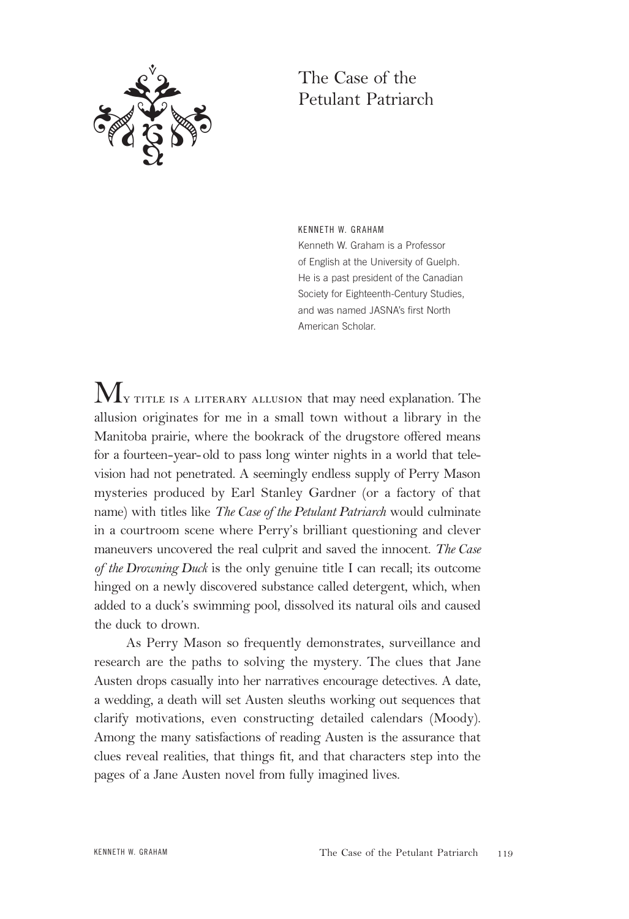

# The Case of the Petulant Patriarch

KENNETH W. GRAHAM Kenneth W. Graham is a Professor of English at the University of Guelph. He is a past president of the Canadian Society for Eighteenth-Century Studies, and was named JASNA's first North American Scholar.

 $\rm\,M_{y}$  title is a literary allusion that may need explanation. The allusion originates for me in a small town without a library in the Manitoba prairie, where the bookrack of the drugstore offered means for a fourteen-year-old to pass long winter nights in a world that television had not penetrated. A seemingly endless supply of Perry Mason mysteries produced by Earl Stanley Gardner (or a factory of that name) with titles like *The Case of the Petulant Patriarch* would culminate in a courtroom scene where Perry's brilliant questioning and clever maneuvers uncovered the real culprit and saved the innocent. *The Case of the Drowning Duck* is the only genuine title I can recall; its outcome hinged on a newly discovered substance called detergent, which, when added to a duck's swimming pool, dissolved its natural oils and caused the duck to drown.

As Perry Mason so frequently demonstrates, surveillance and research are the paths to solving the mystery. The clues that Jane Austen drops casually into her narratives encourage detectives. A date, a wedding, a death will set Austen sleuths working out sequences that clarify motivations, even constructing detailed calendars (Moody). Among the many satisfactions of reading Austen is the assurance that clues reveal realities, that things fit, and that characters step into the pages of a Jane Austen novel from fully imagined lives.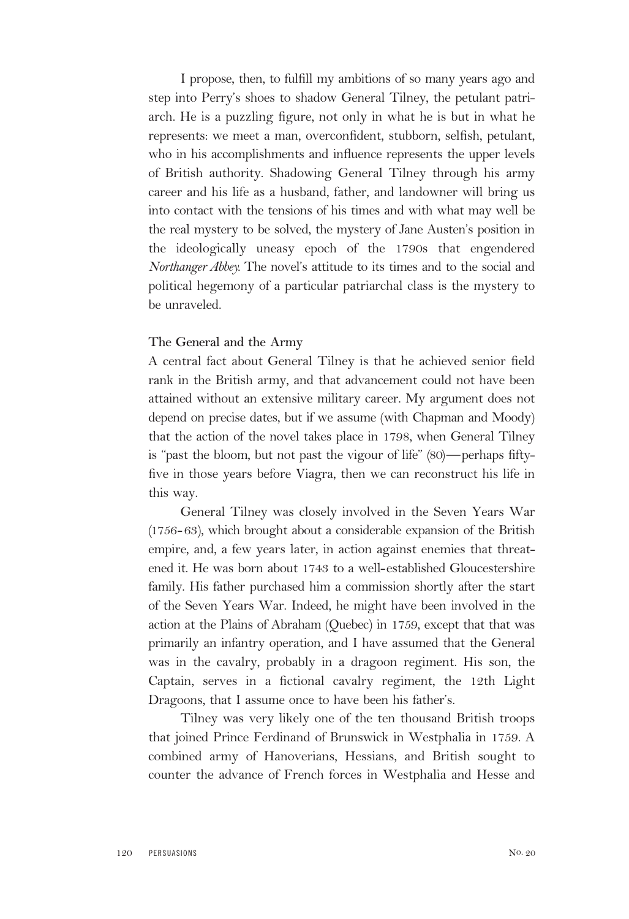I propose, then, to fulfill my ambitions of so many years ago and step into Perry's shoes to shadow General Tilney, the petulant patriarch. He is a puzzling figure, not only in what he is but in what he represents: we meet a man, overconfident, stubborn, selfish, petulant, who in his accomplishments and influence represents the upper levels of British authority. Shadowing General Tilney through his army career and his life as a husband, father, and landowner will bring us into contact with the tensions of his times and with what may well be the real mystery to be solved, the mystery of Jane Austen's position in the ideologically uneasy epoch of the 1790s that engendered *Northanger Abbey.* The novel's attitude to its times and to the social and political hegemony of a particular patriarchal class is the mystery to be unraveled.

### **The General and the Army**

A central fact about General Tilney is that he achieved senior field rank in the British army, and that advancement could not have been attained without an extensive military career. My argument does not depend on precise dates, but if we assume (with Chapman and Moody) that the action of the novel takes place in 1798, when General Tilney is "past the bloom, but not past the vigour of life" (80)—perhaps fiftyfive in those years before Viagra, then we can reconstruct his life in this way.

General Tilney was closely involved in the Seven Years War (1756-63), which brought about a considerable expansion of the British empire, and, a few years later, in action against enemies that threatened it. He was born about 1743 to a well-established Gloucestershire family. His father purchased him a commission shortly after the start of the Seven Years War. Indeed, he might have been involved in the action at the Plains of Abraham (Quebec) in 1759, except that that was primarily an infantry operation, and I have assumed that the General was in the cavalry, probably in a dragoon regiment. His son, the Captain, serves in a fictional cavalry regiment, the 12th Light Dragoons, that I assume once to have been his father's.

Tilney was very likely one of the ten thousand British troops that joined Prince Ferdinand of Brunswick in Westphalia in 1759. A combined army of Hanoverians, Hessians, and British sought to counter the advance of French forces in Westphalia and Hesse and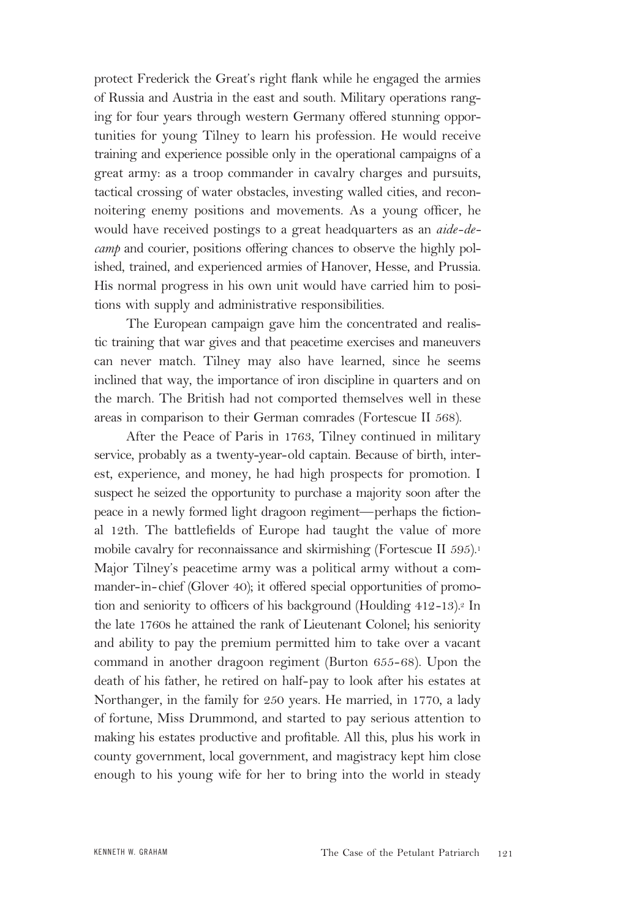protect Frederick the Great's right flank while he engaged the armies of Russia and Austria in the east and south. Military operations ranging for four years through western Germany offered stunning opportunities for young Tilney to learn his profession. He would receive training and experience possible only in the operational campaigns of a great army: as a troop commander in cavalry charges and pursuits, tactical crossing of water obstacles, investing walled cities, and reconnoitering enemy positions and movements. As a young officer, he would have received postings to a great headquarters as an *aide-decamp* and courier, positions offering chances to observe the highly polished, trained, and experienced armies of Hanover, Hesse, and Prussia. His normal progress in his own unit would have carried him to positions with supply and administrative responsibilities.

The European campaign gave him the concentrated and realistic training that war gives and that peacetime exercises and maneuvers can never match. Tilney may also have learned, since he seems inclined that way, the importance of iron discipline in quarters and on the march. The British had not comported themselves well in these areas in comparison to their German comrades (Fortescue II 568).

After the Peace of Paris in 1763, Tilney continued in military service, probably as a twenty-year-old captain. Because of birth, interest, experience, and money, he had high prospects for promotion. I suspect he seized the opportunity to purchase a majority soon after the peace in a newly formed light dragoon regiment—perhaps the fictional 12th. The battlefields of Europe had taught the value of more mobile cavalry for reconnaissance and skirmishing (Fortescue II 595).<sup>1</sup> Major Tilney's peacetime army was a political army without a commander-in-chief (Glover 40); it offered special opportunities of promotion and seniority to officers of his background (Houlding 412-13).<sup>2</sup> In the late 1760s he attained the rank of Lieutenant Colonel; his seniority and ability to pay the premium permitted him to take over a vacant command in another dragoon regiment (Burton 655-68). Upon the death of his father, he retired on half-pay to look after his estates at Northanger, in the family for 250 years. He married, in 1770, a lady of fortune, Miss Drummond, and started to pay serious attention to making his estates productive and profitable. All this, plus his work in county government, local government, and magistracy kept him close enough to his young wife for her to bring into the world in steady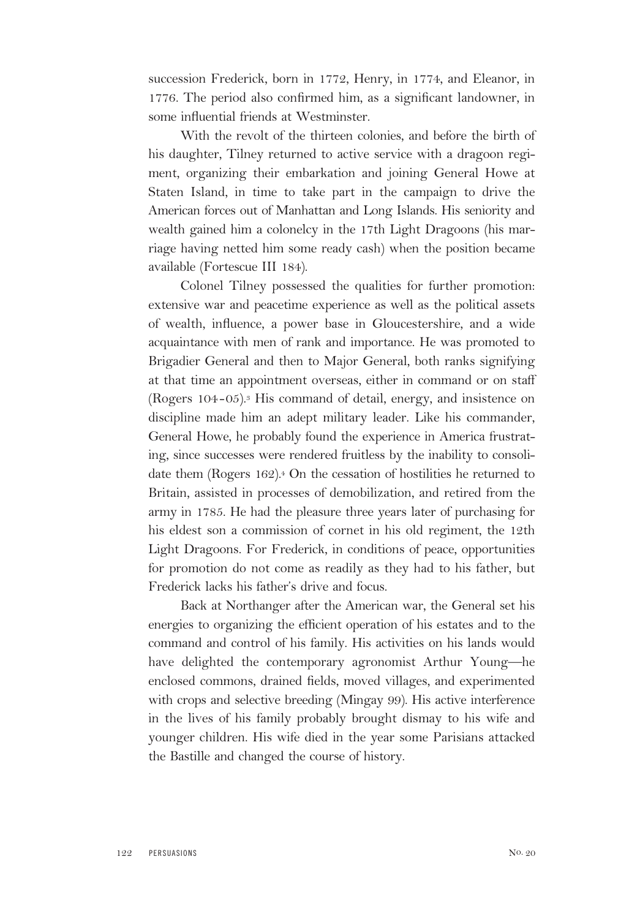succession Frederick, born in 1772, Henry, in 1774, and Eleanor, in 1776. The period also confirmed him, as a significant landowner, in some influential friends at Westminster.

With the revolt of the thirteen colonies, and before the birth of his daughter, Tilney returned to active service with a dragoon regiment, organizing their embarkation and joining General Howe at Staten Island, in time to take part in the campaign to drive the American forces out of Manhattan and Long Islands. His seniority and wealth gained him a colonelcy in the 17th Light Dragoons (his marriage having netted him some ready cash) when the position became available (Fortescue III 184).

Colonel Tilney possessed the qualities for further promotion: extensive war and peacetime experience as well as the political assets of wealth, influence, a power base in Gloucestershire, and a wide acquaintance with men of rank and importance. He was promoted to Brigadier General and then to Major General, both ranks signifying at that time an appointment overseas, either in command or on staff (Rogers 104-05).3 His command of detail, energy, and insistence on discipline made him an adept military leader. Like his commander, General Howe, he probably found the experience in America frustrating, since successes were rendered fruitless by the inability to consolidate them (Rogers  $162$ ).<sup>4</sup> On the cessation of hostilities he returned to Britain, assisted in processes of demobilization, and retired from the army in 1785. He had the pleasure three years later of purchasing for his eldest son a commission of cornet in his old regiment, the 12th Light Dragoons. For Frederick, in conditions of peace, opportunities for promotion do not come as readily as they had to his father, but Frederick lacks his father's drive and focus.

Back at Northanger after the American war, the General set his energies to organizing the efficient operation of his estates and to the command and control of his family. His activities on his lands would have delighted the contemporary agronomist Arthur Young—he enclosed commons, drained fields, moved villages, and experimented with crops and selective breeding (Mingay 99). His active interference in the lives of his family probably brought dismay to his wife and younger children. His wife died in the year some Parisians attacked the Bastille and changed the course of history.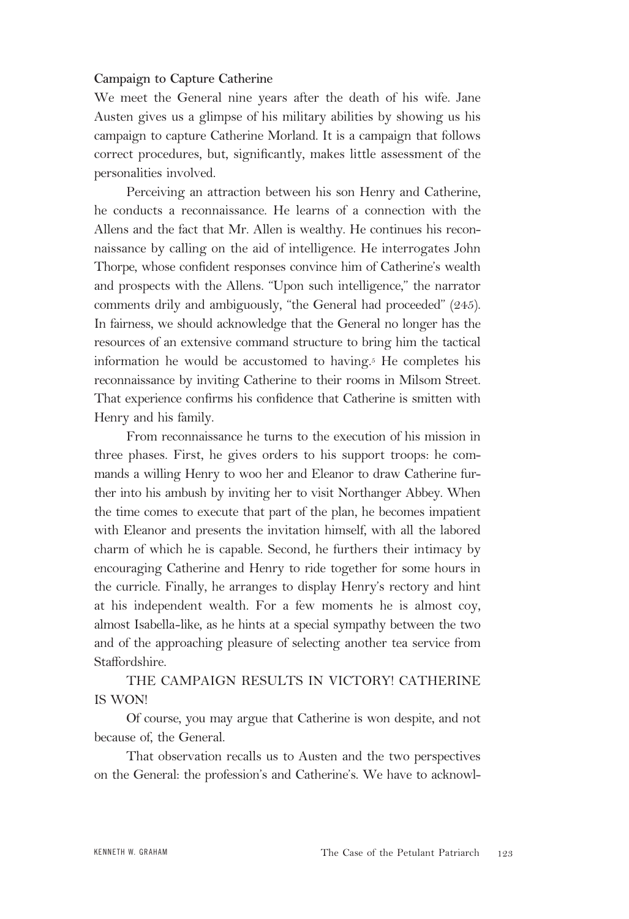# **Campaign to Capture Catherine**

We meet the General nine years after the death of his wife. Jane Austen gives us a glimpse of his military abilities by showing us his campaign to capture Catherine Morland. It is a campaign that follows correct procedures, but, significantly, makes little assessment of the personalities involved.

Perceiving an attraction between his son Henry and Catherine, he conducts a reconnaissance. He learns of a connection with the Allens and the fact that Mr. Allen is wealthy. He continues his reconnaissance by calling on the aid of intelligence. He interrogates John Thorpe, whose confident responses convince him of Catherine's wealth and prospects with the Allens. "Upon such intelligence," the narrator comments drily and ambiguously, "the General had proceeded" (245). In fairness, we should acknowledge that the General no longer has the resources of an extensive command structure to bring him the tactical information he would be accustomed to having.5 He completes his reconnaissance by inviting Catherine to their rooms in Milsom Street. That experience confirms his confidence that Catherine is smitten with Henry and his family.

From reconnaissance he turns to the execution of his mission in three phases. First, he gives orders to his support troops: he commands a willing Henry to woo her and Eleanor to draw Catherine further into his ambush by inviting her to visit Northanger Abbey. When the time comes to execute that part of the plan, he becomes impatient with Eleanor and presents the invitation himself, with all the labored charm of which he is capable. Second, he furthers their intimacy by encouraging Catherine and Henry to ride together for some hours in the curricle. Finally, he arranges to display Henry's rectory and hint at his independent wealth. For a few moments he is almost coy, almost Isabella-like, as he hints at a special sympathy between the two and of the approaching pleasure of selecting another tea service from Staffordshire.

THE CAMPAIGN RESULTS IN VICTORY! CATHERINE IS WON!

Of course, you may argue that Catherine is won despite, and not because of, the General.

That observation recalls us to Austen and the two perspectives on the General: the profession's and Catherine's. We have to acknowl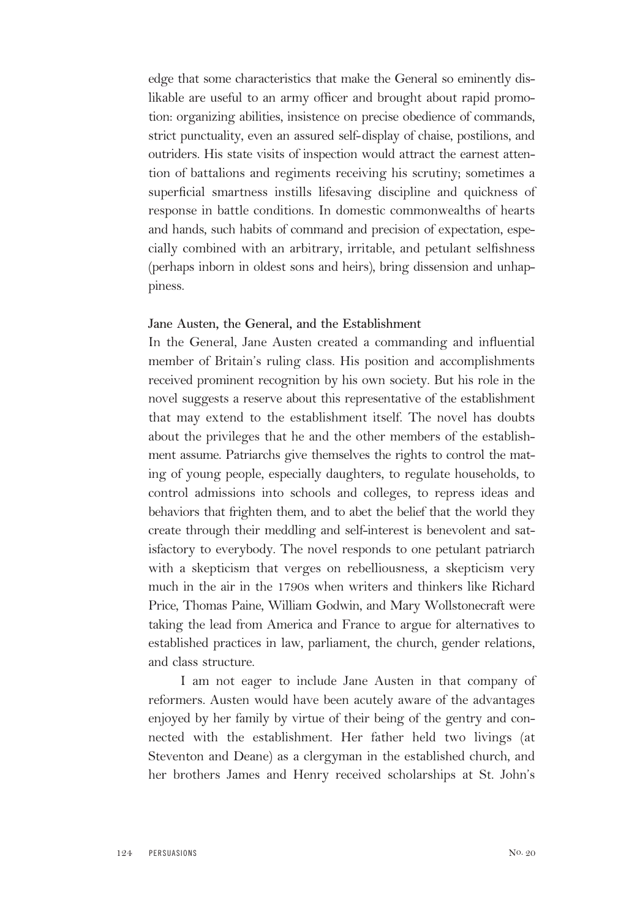edge that some characteristics that make the General so eminently dislikable are useful to an army officer and brought about rapid promotion: organizing abilities, insistence on precise obedience of commands, strict punctuality, even an assured self-display of chaise, postilions, and outriders. His state visits of inspection would attract the earnest attention of battalions and regiments receiving his scrutiny; sometimes a superficial smartness instills lifesaving discipline and quickness of response in battle conditions. In domestic commonwealths of hearts and hands, such habits of command and precision of expectation, especially combined with an arbitrary, irritable, and petulant selfishness (perhaps inborn in oldest sons and heirs), bring dissension and unhappiness.

#### **Jane Austen, the General, and the Establishment**

In the General, Jane Austen created a commanding and influential member of Britain's ruling class. His position and accomplishments received prominent recognition by his own society. But his role in the novel suggests a reserve about this representative of the establishment that may extend to the establishment itself. The novel has doubts about the privileges that he and the other members of the establishment assume. Patriarchs give themselves the rights to control the mating of young people, especially daughters, to regulate households, to control admissions into schools and colleges, to repress ideas and behaviors that frighten them, and to abet the belief that the world they create through their meddling and self-interest is benevolent and satisfactory to everybody. The novel responds to one petulant patriarch with a skepticism that verges on rebelliousness, a skepticism very much in the air in the 1790s when writers and thinkers like Richard Price, Thomas Paine, William Godwin, and Mary Wollstonecraft were taking the lead from America and France to argue for alternatives to established practices in law, parliament, the church, gender relations, and class structure.

I am not eager to include Jane Austen in that company of reformers. Austen would have been acutely aware of the advantages enjoyed by her family by virtue of their being of the gentry and connected with the establishment. Her father held two livings (at Steventon and Deane) as a clergyman in the established church, and her brothers James and Henry received scholarships at St. John's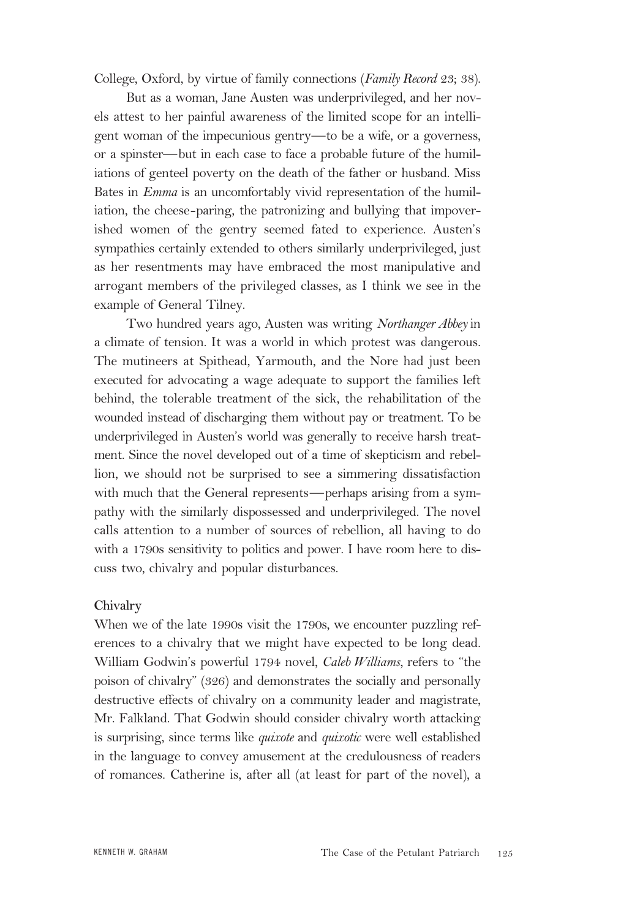College, Oxford, by virtue of family connections (*Family Record* 23; 38).

But as a woman, Jane Austen was underprivileged, and her novels attest to her painful awareness of the limited scope for an intelligent woman of the impecunious gentry—to be a wife, or a governess, or a spinster—but in each case to face a probable future of the humiliations of genteel poverty on the death of the father or husband. Miss Bates in *Emma* is an uncomfortably vivid representation of the humiliation, the cheese-paring, the patronizing and bullying that impoverished women of the gentry seemed fated to experience. Austen's sympathies certainly extended to others similarly underprivileged, just as her resentments may have embraced the most manipulative and arrogant members of the privileged classes, as I think we see in the example of General Tilney.

Two hundred years ago, Austen was writing *Northanger Abbey* in a climate of tension. It was a world in which protest was dangerous. The mutineers at Spithead, Yarmouth, and the Nore had just been executed for advocating a wage adequate to support the families left behind, the tolerable treatment of the sick, the rehabilitation of the wounded instead of discharging them without pay or treatment. To be underprivileged in Austen's world was generally to receive harsh treatment. Since the novel developed out of a time of skepticism and rebellion, we should not be surprised to see a simmering dissatisfaction with much that the General represents—perhaps arising from a sympathy with the similarly dispossessed and underprivileged. The novel calls attention to a number of sources of rebellion, all having to do with a 1790s sensitivity to politics and power. I have room here to discuss two, chivalry and popular disturbances.

#### **Chivalry**

When we of the late 1990s visit the 1790s, we encounter puzzling references to a chivalry that we might have expected to be long dead. William Godwin's powerful 1794 novel, *Caleb Williams,* refers to "the poison of chivalry" (326) and demonstrates the socially and personally destructive effects of chivalry on a community leader and magistrate, Mr. Falkland. That Godwin should consider chivalry worth attacking is surprising, since terms like *quixote* and *quixotic* were well established in the language to convey amusement at the credulousness of readers of romances. Catherine is, after all (at least for part of the novel), a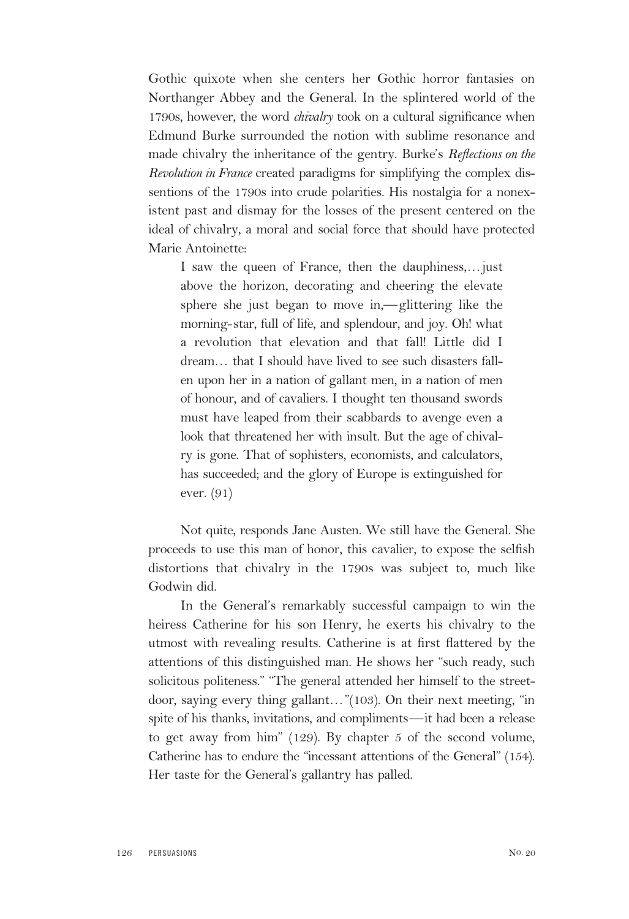Gothic quixote when she centers her Gothic horror fantasies on Northanger Abbey and the General. In the splintered world of the 1790s, however, the word *chivalry* took on a cultural significance when Edmund Burke surrounded the notion with sublime resonance and made chivalry the inheritance of the gentry. Burke's *Reflections on the Revolution in France* created paradigms for simplifying the complex dissentions of the 1790s into crude polarities. His nostalgia for a nonexistent past and dismay for the losses of the present centered on the ideal of chivalry, a moral and social force that should have protected Marie Antoinette:

I saw the queen of France, then the dauphiness,…just above the horizon, decorating and cheering the elevate sphere she just began to move in,—glittering like the morning-star, full of life, and splendour, and joy. Oh! what a revolution that elevation and that fall! Little did I dream… that I should have lived to see such disasters fallen upon her in a nation of gallant men, in a nation of men of honour, and of cavaliers. I thought ten thousand swords must have leaped from their scabbards to avenge even a look that threatened her with insult. But the age of chivalry is gone. That of sophisters, economists, and calculators, has succeeded; and the glory of Europe is extinguished for ever. (91)

Not quite, responds Jane Austen. We still have the General. She proceeds to use this man of honor, this cavalier, to expose the selfish distortions that chivalry in the 1790s was subject to, much like Godwin did.

In the General's remarkably successful campaign to win the heiress Catherine for his son Henry, he exerts his chivalry to the utmost with revealing results. Catherine is at first flattered by the attentions of this distinguished man. He shows her "such ready, such solicitous politeness." "The general attended her himself to the streetdoor, saying every thing gallant…"(103). On their next meeting, "in spite of his thanks, invitations, and compliments—it had been a release to get away from him" (129). By chapter 5 of the second volume, Catherine has to endure the "incessant attentions of the General" (154). Her taste for the General's gallantry has palled.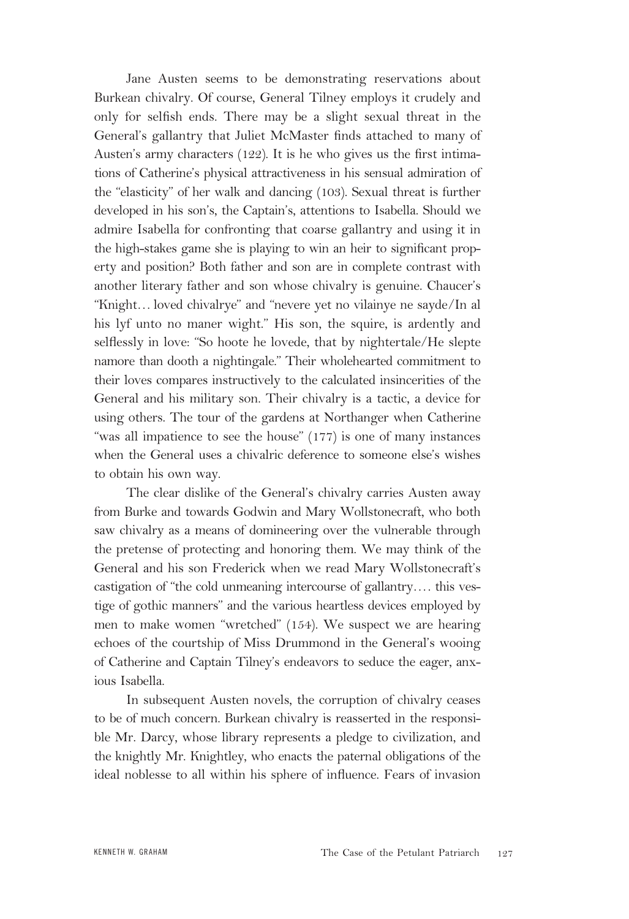Jane Austen seems to be demonstrating reservations about Burkean chivalry. Of course, General Tilney employs it crudely and only for selfish ends. There may be a slight sexual threat in the General's gallantry that Juliet McMaster finds attached to many of Austen's army characters (122). It is he who gives us the first intimations of Catherine's physical attractiveness in his sensual admiration of the "elasticity" of her walk and dancing (103). Sexual threat is further developed in his son's, the Captain's, attentions to Isabella. Should we admire Isabella for confronting that coarse gallantry and using it in the high-stakes game she is playing to win an heir to significant property and position? Both father and son are in complete contrast with another literary father and son whose chivalry is genuine. Chaucer's "Knight… loved chivalrye" and "nevere yet no vilainye ne sayde/In al his lyf unto no maner wight." His son, the squire, is ardently and selflessly in love: "So hoote he lovede, that by nightertale/He slepte namore than dooth a nightingale." Their wholehearted commitment to their loves compares instructively to the calculated insincerities of the General and his military son. Their chivalry is a tactic, a device for using others. The tour of the gardens at Northanger when Catherine "was all impatience to see the house" (177) is one of many instances when the General uses a chivalric deference to someone else's wishes to obtain his own way.

The clear dislike of the General's chivalry carries Austen away from Burke and towards Godwin and Mary Wollstonecraft, who both saw chivalry as a means of domineering over the vulnerable through the pretense of protecting and honoring them. We may think of the General and his son Frederick when we read Mary Wollstonecraft's castigation of "the cold unmeaning intercourse of gallantry…. this vestige of gothic manners" and the various heartless devices employed by men to make women "wretched" (154). We suspect we are hearing echoes of the courtship of Miss Drummond in the General's wooing of Catherine and Captain Tilney's endeavors to seduce the eager, anxious Isabella.

In subsequent Austen novels, the corruption of chivalry ceases to be of much concern. Burkean chivalry is reasserted in the responsible Mr. Darcy, whose library represents a pledge to civilization, and the knightly Mr. Knightley, who enacts the paternal obligations of the ideal noblesse to all within his sphere of influence. Fears of invasion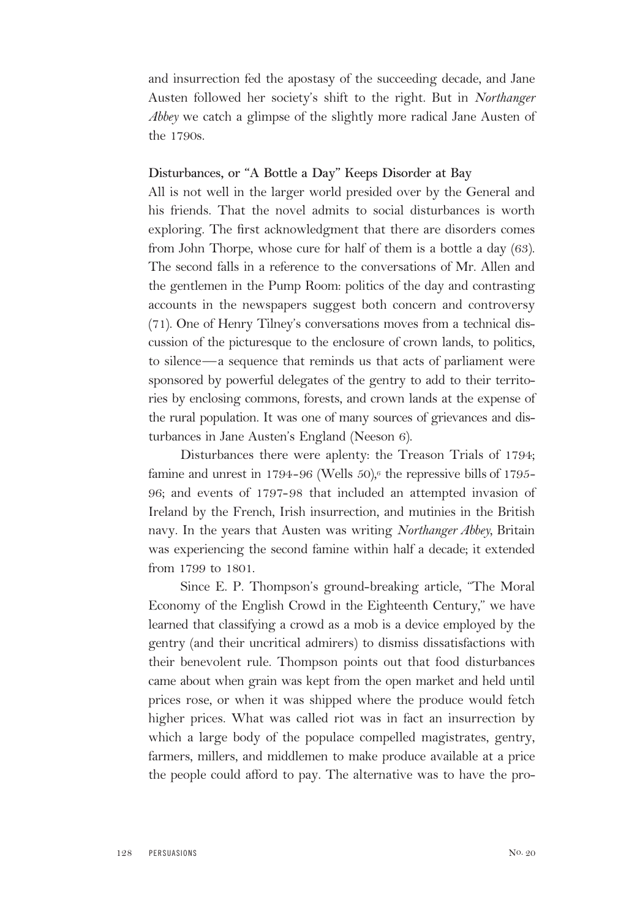and insurrection fed the apostasy of the succeeding decade, and Jane Austen followed her society's shift to the right. But in *Northanger Abbey* we catch a glimpse of the slightly more radical Jane Austen of the 1790s.

#### **Disturbances, or "A Bottle a Day" Keeps Disorder at Bay**

All is not well in the larger world presided over by the General and his friends. That the novel admits to social disturbances is worth exploring. The first acknowledgment that there are disorders comes from John Thorpe, whose cure for half of them is a bottle a day (63). The second falls in a reference to the conversations of Mr. Allen and the gentlemen in the Pump Room: politics of the day and contrasting accounts in the newspapers suggest both concern and controversy (71). One of Henry Tilney's conversations moves from a technical discussion of the picturesque to the enclosure of crown lands, to politics, to silence—a sequence that reminds us that acts of parliament were sponsored by powerful delegates of the gentry to add to their territories by enclosing commons, forests, and crown lands at the expense of the rural population. It was one of many sources of grievances and disturbances in Jane Austen's England (Neeson 6).

Disturbances there were aplenty: the Treason Trials of 1794; famine and unrest in 1794-96 (Wells  $50$ ),<sup>6</sup> the repressive bills of 1795-96; and events of 1797-98 that included an attempted invasion of Ireland by the French, Irish insurrection, and mutinies in the British navy. In the years that Austen was writing *Northanger Abbey,* Britain was experiencing the second famine within half a decade; it extended from 1799 to 1801.

Since E. P. Thompson's ground-breaking article, "The Moral Economy of the English Crowd in the Eighteenth Century," we have learned that classifying a crowd as a mob is a device employed by the gentry (and their uncritical admirers) to dismiss dissatisfactions with their benevolent rule. Thompson points out that food disturbances came about when grain was kept from the open market and held until prices rose, or when it was shipped where the produce would fetch higher prices. What was called riot was in fact an insurrection by which a large body of the populace compelled magistrates, gentry, farmers, millers, and middlemen to make produce available at a price the people could afford to pay. The alternative was to have the pro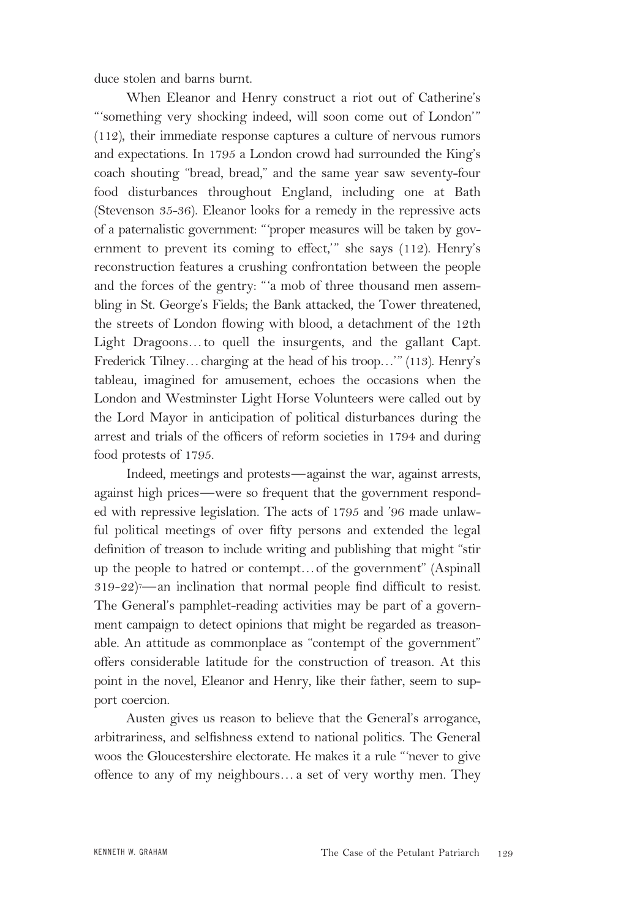duce stolen and barns burnt.

When Eleanor and Henry construct a riot out of Catherine's "'something very shocking indeed, will soon come out of London'" (112), their immediate response captures a culture of nervous rumors and expectations. In 1795 a London crowd had surrounded the King's coach shouting "bread, bread," and the same year saw seventy-four food disturbances throughout England, including one at Bath (Stevenson 35-36). Eleanor looks for a remedy in the repressive acts of a paternalistic government: "'proper measures will be taken by government to prevent its coming to effect,'" she says (112). Henry's reconstruction features a crushing confrontation between the people and the forces of the gentry: "'a mob of three thousand men assembling in St. George's Fields; the Bank attacked, the Tower threatened, the streets of London flowing with blood, a detachment of the 12th Light Dragoons…to quell the insurgents, and the gallant Capt. Frederick Tilney…charging at the head of his troop…'" (113). Henry's tableau, imagined for amusement, echoes the occasions when the London and Westminster Light Horse Volunteers were called out by the Lord Mayor in anticipation of political disturbances during the arrest and trials of the officers of reform societies in 1794 and during food protests of 1795.

Indeed, meetings and protests—against the war, against arrests, against high prices—were so frequent that the government responded with repressive legislation. The acts of 1795 and '96 made unlawful political meetings of over fifty persons and extended the legal definition of treason to include writing and publishing that might "stir up the people to hatred or contempt…of the government" (Aspinall  $319-22$ )<sup>-</sup> an inclination that normal people find difficult to resist. The General's pamphlet-reading activities may be part of a government campaign to detect opinions that might be regarded as treasonable. An attitude as commonplace as "contempt of the government" offers considerable latitude for the construction of treason. At this point in the novel, Eleanor and Henry, like their father, seem to support coercion.

Austen gives us reason to believe that the General's arrogance, arbitrariness, and selfishness extend to national politics. The General woos the Gloucestershire electorate. He makes it a rule "'never to give offence to any of my neighbours…a set of very worthy men. They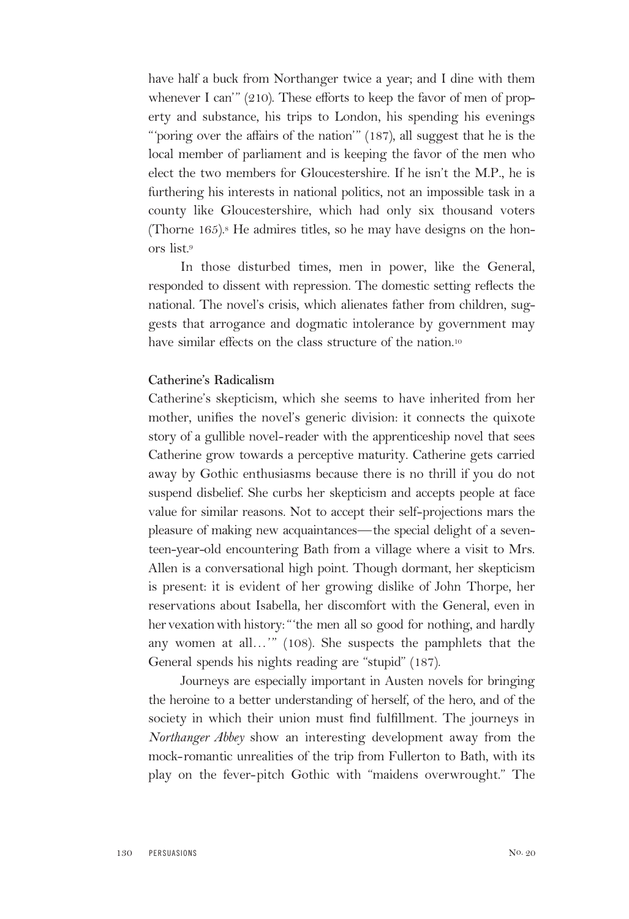have half a buck from Northanger twice a year; and I dine with them whenever I can'" (210). These efforts to keep the favor of men of property and substance, his trips to London, his spending his evenings "'poring over the affairs of the nation'" (187), all suggest that he is the local member of parliament and is keeping the favor of the men who elect the two members for Gloucestershire. If he isn't the M.P., he is furthering his interests in national politics, not an impossible task in a county like Gloucestershire, which had only six thousand voters (Thorne  $165$ ).<sup>8</sup> He admires titles, so he may have designs on the honors list.9

In those disturbed times, men in power, like the General, responded to dissent with repression. The domestic setting reflects the national. The novel's crisis, which alienates father from children, suggests that arrogance and dogmatic intolerance by government may have similar effects on the class structure of the nation.<sup>10</sup>

## **Catherine's Radicalism**

Catherine's skepticism, which she seems to have inherited from her mother, unifies the novel's generic division: it connects the quixote story of a gullible novel-reader with the apprenticeship novel that sees Catherine grow towards a perceptive maturity. Catherine gets carried away by Gothic enthusiasms because there is no thrill if you do not suspend disbelief. She curbs her skepticism and accepts people at face value for similar reasons. Not to accept their self-projections mars the pleasure of making new acquaintances—the special delight of a seventeen-year-old encountering Bath from a village where a visit to Mrs. Allen is a conversational high point. Though dormant, her skepticism is present: it is evident of her growing dislike of John Thorpe, her reservations about Isabella, her discomfort with the General, even in her vexation with history: "the men all so good for nothing, and hardly any women at all…'" (108). She suspects the pamphlets that the General spends his nights reading are "stupid" (187).

Journeys are especially important in Austen novels for bringing the heroine to a better understanding of herself, of the hero, and of the society in which their union must find fulfillment. The journeys in *Northanger Abbey* show an interesting development away from the mock-romantic unrealities of the trip from Fullerton to Bath, with its play on the fever-pitch Gothic with "maidens overwrought." The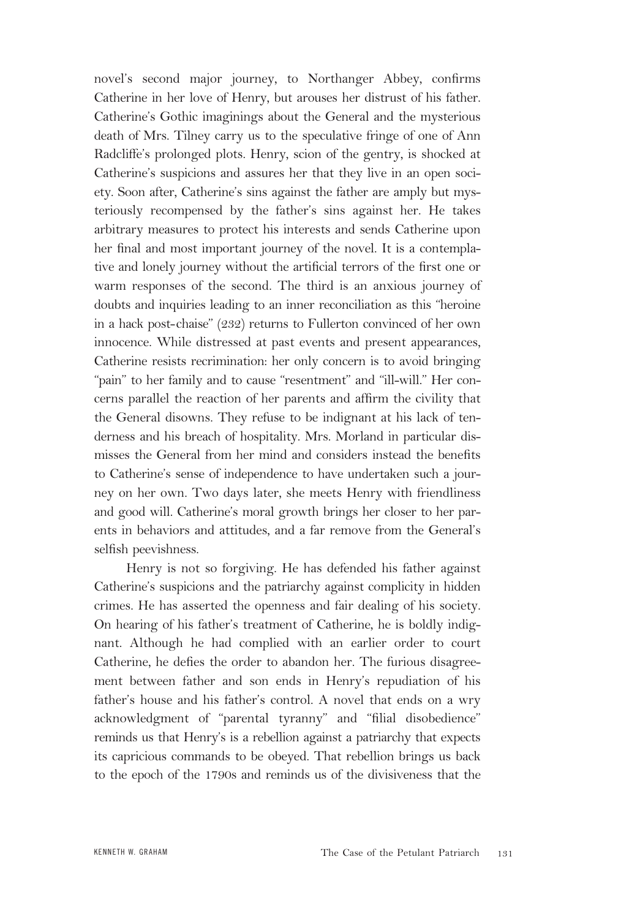novel's second major journey, to Northanger Abbey, confirms Catherine in her love of Henry, but arouses her distrust of his father. Catherine's Gothic imaginings about the General and the mysterious death of Mrs. Tilney carry us to the speculative fringe of one of Ann Radcliffe's prolonged plots. Henry, scion of the gentry, is shocked at Catherine's suspicions and assures her that they live in an open society. Soon after, Catherine's sins against the father are amply but mysteriously recompensed by the father's sins against her. He takes arbitrary measures to protect his interests and sends Catherine upon her final and most important journey of the novel. It is a contemplative and lonely journey without the artificial terrors of the first one or warm responses of the second. The third is an anxious journey of doubts and inquiries leading to an inner reconciliation as this "heroine in a hack post-chaise" (232) returns to Fullerton convinced of her own innocence. While distressed at past events and present appearances, Catherine resists recrimination: her only concern is to avoid bringing "pain" to her family and to cause "resentment" and "ill-will." Her concerns parallel the reaction of her parents and affirm the civility that the General disowns. They refuse to be indignant at his lack of tenderness and his breach of hospitality. Mrs. Morland in particular dismisses the General from her mind and considers instead the benefits to Catherine's sense of independence to have undertaken such a journey on her own. Two days later, she meets Henry with friendliness and good will. Catherine's moral growth brings her closer to her parents in behaviors and attitudes, and a far remove from the General's selfish peevishness.

Henry is not so forgiving. He has defended his father against Catherine's suspicions and the patriarchy against complicity in hidden crimes. He has asserted the openness and fair dealing of his society. On hearing of his father's treatment of Catherine, he is boldly indignant. Although he had complied with an earlier order to court Catherine, he defies the order to abandon her. The furious disagreement between father and son ends in Henry's repudiation of his father's house and his father's control. A novel that ends on a wry acknowledgment of "parental tyranny" and "filial disobedience" reminds us that Henry's is a rebellion against a patriarchy that expects its capricious commands to be obeyed. That rebellion brings us back to the epoch of the 1790s and reminds us of the divisiveness that the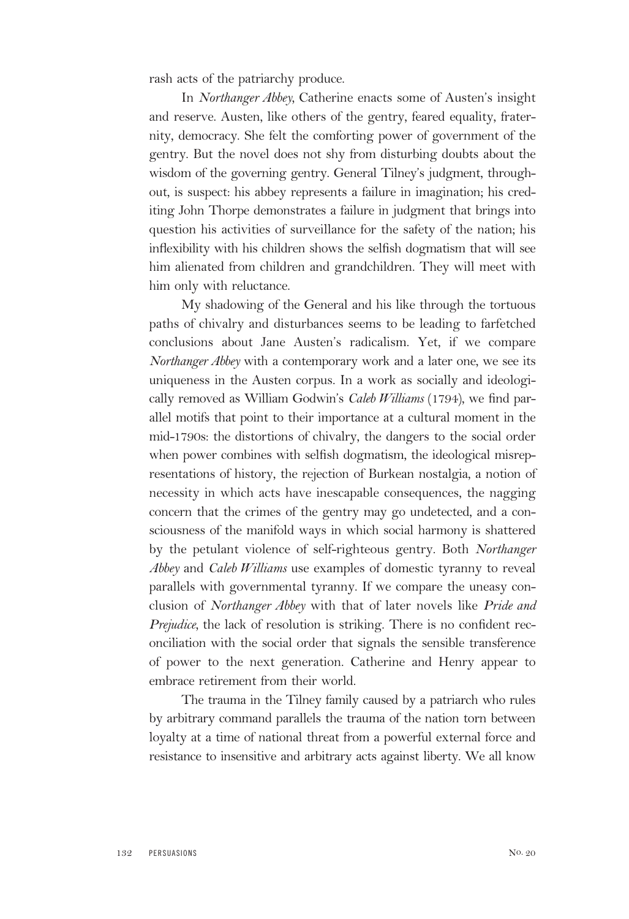rash acts of the patriarchy produce.

In *Northanger Abbey,* Catherine enacts some of Austen's insight and reserve. Austen, like others of the gentry, feared equality, fraternity, democracy. She felt the comforting power of government of the gentry. But the novel does not shy from disturbing doubts about the wisdom of the governing gentry. General Tilney's judgment, throughout, is suspect: his abbey represents a failure in imagination; his crediting John Thorpe demonstrates a failure in judgment that brings into question his activities of surveillance for the safety of the nation; his inflexibility with his children shows the selfish dogmatism that will see him alienated from children and grandchildren. They will meet with him only with reluctance.

My shadowing of the General and his like through the tortuous paths of chivalry and disturbances seems to be leading to farfetched conclusions about Jane Austen's radicalism. Yet, if we compare *Northanger Abbey* with a contemporary work and a later one, we see its uniqueness in the Austen corpus. In a work as socially and ideologically removed as William Godwin's *Caleb Williams* (1794), we find parallel motifs that point to their importance at a cultural moment in the mid-1790s: the distortions of chivalry, the dangers to the social order when power combines with selfish dogmatism, the ideological misrepresentations of history, the rejection of Burkean nostalgia, a notion of necessity in which acts have inescapable consequences, the nagging concern that the crimes of the gentry may go undetected, and a consciousness of the manifold ways in which social harmony is shattered by the petulant violence of self-righteous gentry. Both *Northanger Abbey* and *Caleb Williams* use examples of domestic tyranny to reveal parallels with governmental tyranny. If we compare the uneasy conclusion of *Northanger Abbey* with that of later novels like *Pride and Prejudice,* the lack of resolution is striking. There is no confident reconciliation with the social order that signals the sensible transference of power to the next generation. Catherine and Henry appear to embrace retirement from their world.

The trauma in the Tilney family caused by a patriarch who rules by arbitrary command parallels the trauma of the nation torn between loyalty at a time of national threat from a powerful external force and resistance to insensitive and arbitrary acts against liberty. We all know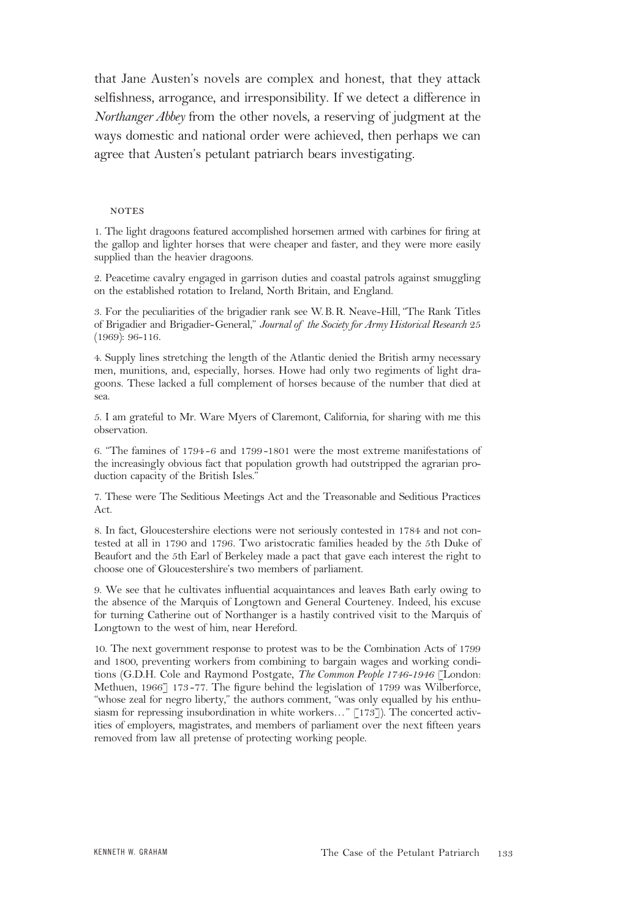that Jane Austen's novels are complex and honest, that they attack selfishness, arrogance, and irresponsibility. If we detect a difference in *Northanger Abbey* from the other novels, a reserving of judgment at the ways domestic and national order were achieved, then perhaps we can agree that Austen's petulant patriarch bears investigating.

#### **NOTES**

1. The light dragoons featured accomplished horsemen armed with carbines for firing at the gallop and lighter horses that were cheaper and faster, and they were more easily supplied than the heavier dragoons.

2. Peacetime cavalry engaged in garrison duties and coastal patrols against smuggling on the established rotation to Ireland, North Britain, and England.

3. For the peculiarities of the brigadier rank see W.B.R. Neave-Hill, "The Rank Titles of Brigadier and Brigadier-General," *Journal of the Society for Army Historical Research* 25 (1969): 96-116.

4. Supply lines stretching the length of the Atlantic denied the British army necessary men, munitions, and, especially, horses. Howe had only two regiments of light dragoons. These lacked a full complement of horses because of the number that died at sea.

5. I am grateful to Mr. Ware Myers of Claremont, California, for sharing with me this observation.

6. "The famines of 1794-6 and 1799-1801 were the most extreme manifestations of the increasingly obvious fact that population growth had outstripped the agrarian production capacity of the British Isles."

7. These were The Seditious Meetings Act and the Treasonable and Seditious Practices Act.

8. In fact, Gloucestershire elections were not seriously contested in 1784 and not contested at all in 1790 and 1796. Two aristocratic families headed by the 5th Duke of Beaufort and the 5th Earl of Berkeley made a pact that gave each interest the right to choose one of Gloucestershire's two members of parliament.

9. We see that he cultivates influential acquaintances and leaves Bath early owing to the absence of the Marquis of Longtown and General Courteney. Indeed, his excuse for turning Catherine out of Northanger is a hastily contrived visit to the Marquis of Longtown to the west of him, near Hereford.

10. The next government response to protest was to be the Combination Acts of 1799 and 1800, preventing workers from combining to bargain wages and working conditions (G.D.H. Cole and Raymond Postgate, *The Common People 1746-1946* [London: Methuen, 1966] 173-77. The figure behind the legislation of 1799 was Wilberforce, "whose zeal for negro liberty," the authors comment, "was only equalled by his enthusiasm for repressing insubordination in white workers..." [173]). The concerted activities of employers, magistrates, and members of parliament over the next fifteen years removed from law all pretense of protecting working people.